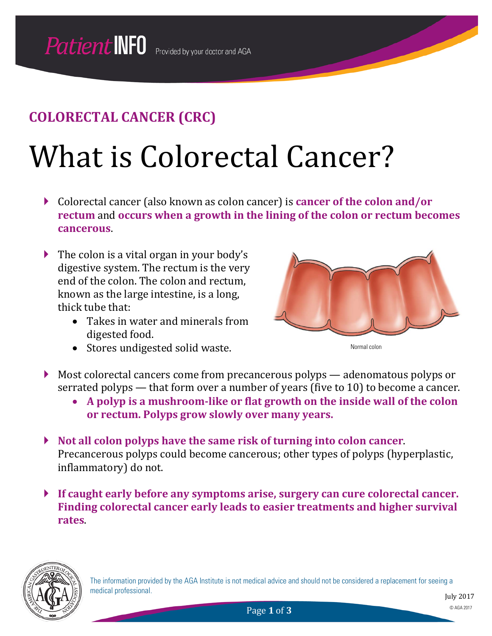## **COLORECTAL CANCER (CRC)**

## What is Colorectal Cancer?

- Colorectal cancer (also known as colon cancer) is **cancer of the colon and/or rectum** and **occurs when a growth in the lining of the colon or rectum becomes cancerous**.
- $\blacktriangleright$  The colon is a vital organ in your body's digestive system. The rectum is the very end of the colon. The colon and rectum, known as the large intestine, is a long, thick tube that:
	- Takes in water and minerals from digested food.
	- Stores undigested solid waste.



Normal colon

- Most colorectal cancers come from precancerous polyps adenomatous polyps or serrated polyps — that form over a number of years (five to 10) to become a cancer.
	- **A polyp is a mushroom-like or flat growth on the inside wall of the colon or rectum. Polyps grow slowly over many years.**
- **Not all colon polyps have the same risk of turning into colon cancer**. Precancerous polyps could become cancerous; other types of polyps (hyperplastic, inflammatory) do not.
- **If caught early before any symptoms arise, surgery can cure colorectal cancer. Finding colorectal cancer early leads to easier treatments and higher survival rates**.

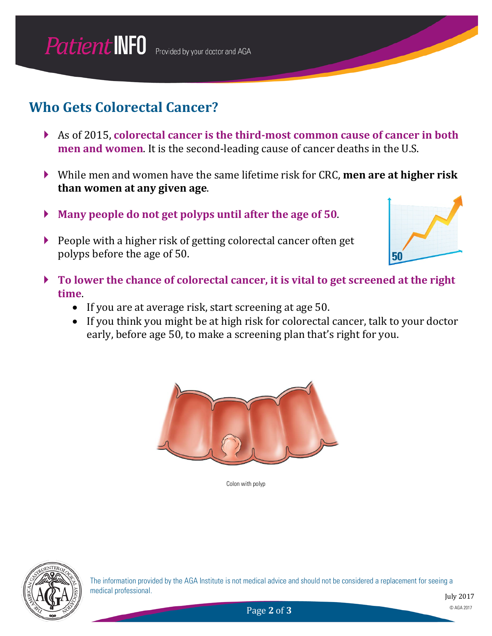### **Who Gets Colorectal Cancer?**

- As of 2015, **colorectal cancer is the third-most common cause of cancer in both men and women**. It is the second-leading cause of cancer deaths in the U.S.
- While men and women have the same lifetime risk for CRC, **men are at higher risk than women at any given age**.
- **Many people do not get polyps until after the age of 50**.
- People with a higher risk of getting colorectal cancer often get polyps before the age of 50.



- **To lower the chance of colorectal cancer, it is vital to get screened at the right time**.
	- If you are at average risk, start screening at age 50.
	- If you think you might be at high risk for colorectal cancer, talk to your doctor early, before age 50, to make a screening plan that's right for you.



Colon with polyp

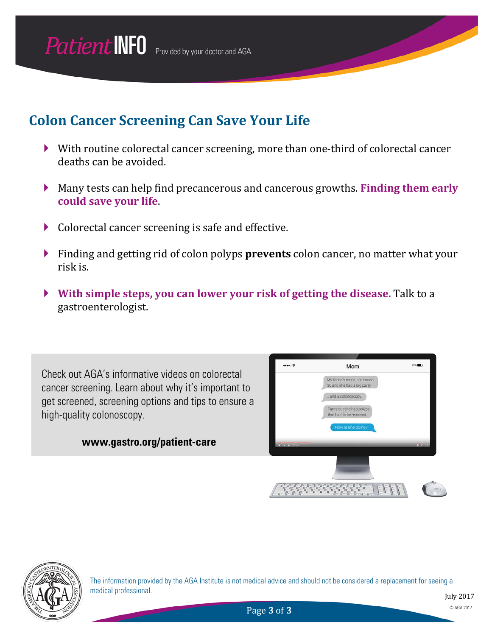### **Colon Cancer Screening Can Save Your Life**

- With routine colorectal cancer screening, more than one-third of colorectal cancer deaths can be avoided.
- Many tests can help find precancerous and cancerous growths. **Finding them early could save your life**.
- ▶ Colorectal cancer screening is safe and effective.
- Finding and getting rid of colon polyps **prevents** colon cancer, no matter what your risk is.
- **With simple steps, you can lower your risk of getting the disease.** Talk to a gastroenterologist.

Check out AGA's informative videos on colorectal cancer screening. Learn about why it's important to get screened, screening options and tips to ensure a high-quality colonoscopy.

#### **www.gastro.org/patient-care**





The information provided by the AGA Institute is not medical advice and should not be considered a replacement for seeing a medical professional.

Page **3** of **3** © AGA 2017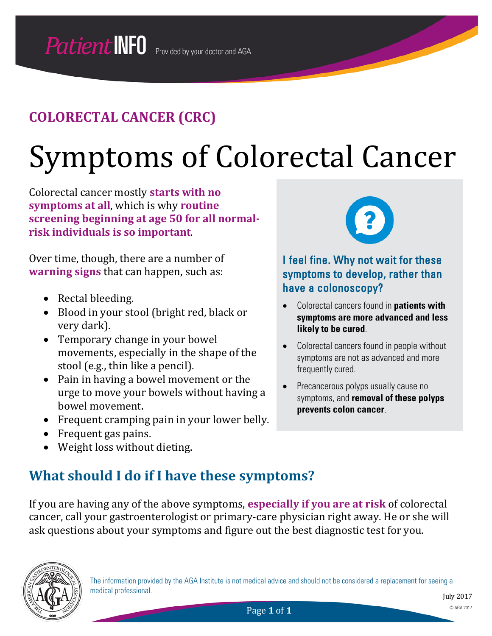## **COLORECTAL CANCER (CRC)**

# Symptoms of Colorectal Cancer

Colorectal cancer mostly **starts with no symptoms at all**, which is why **routine screening beginning at age 50 for all normalrisk individuals is so important**.

Over time, though, there are a number of **warning signs** that can happen, such as:

- Rectal bleeding.
- Blood in your stool (bright red, black or very dark).
- Temporary change in your bowel movements, especially in the shape of the stool (e.g., thin like a pencil).
- Pain in having a bowel movement or the urge to move your bowels without having a bowel movement.
- Frequent cramping pain in your lower belly.
- Frequent gas pains.
- Weight loss without dieting.



I feel fine. Why not wait for these symptoms to develop, rather than have a colonoscopy?

- Colorectal cancers found in **patients with symptoms are more advanced and less likely to be cured**.
- Colorectal cancers found in people without symptoms are not as advanced and more frequently cured.
- Precancerous polyps usually cause no symptoms, and **removal of these polyps prevents colon cancer**.

### **What should I do if I have these symptoms?**

If you are having any of the above symptoms, **especially if you are at risk** of colorectal cancer, call your gastroenterologist or primary-care physician right away. He or she will ask questions about your symptoms and figure out the best diagnostic test for you.

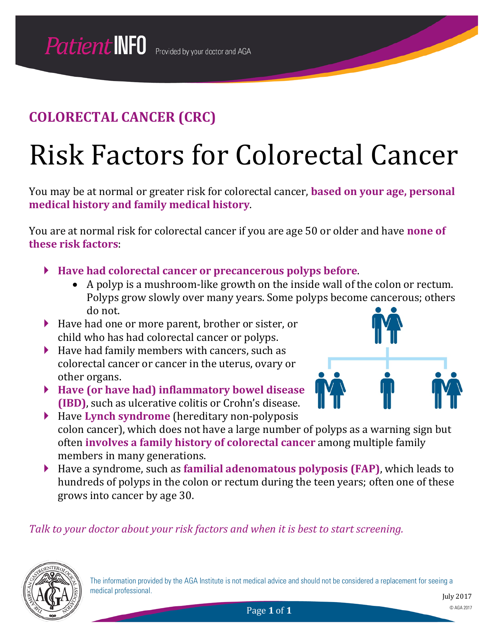## **COLORECTAL CANCER (CRC)**

## Risk Factors for Colorectal Cancer

You may be at normal or greater risk for colorectal cancer, **based on your age, personal medical history and family medical history**.

You are at normal risk for colorectal cancer if you are age 50 or older and have **none of these risk factors**:

- **Have had colorectal cancer or precancerous polyps before**.
	- A polyp is a mushroom-like growth on the inside wall of the colon or rectum. Polyps grow slowly over many years. Some polyps become cancerous; others do not.
- Have had one or more parent, brother or sister, or child who has had colorectal cancer or polyps.
- $\blacktriangleright$  Have had family members with cancers, such as colorectal cancer or cancer in the uterus, ovary or other organs.
- **Have (or have had) inflammatory bowel disease (IBD)**, such as ulcerative colitis or Crohn's disease.
- Have **Lynch syndrome** (hereditary non-polyposis colon cancer), which does not have a large number of polyps as a warning sign but often **involves a family history of colorectal cancer** among multiple family members in many generations.
- Have a syndrome, such as **familial adenomatous polyposis (FAP)**, which leads to hundreds of polyps in the colon or rectum during the teen years; often one of these grows into cancer by age 30.

*Talk to your doctor about your risk factors and when it is best to start screening.*

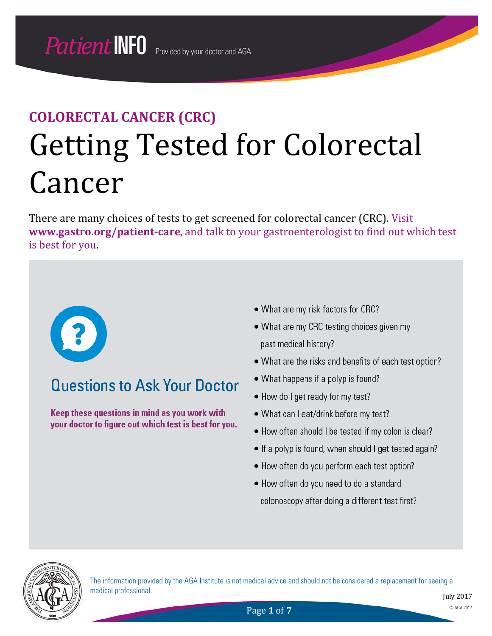## **COLORECTAL CANCER (CRC)** Getting Tested for Colorectal Cancer

There are many choices of tests to get screened for colorectal cancer (CRC). Visit *31Th***ww.gastro.org/patient-care**, and talk to your gastroenterologist to find out which test is best for you.



## **Questions to Ask Your Doctor**

Keep these questions in mind as you work with your doctor to figure out which test is best for you.

- What are my risk factors for CRC?
- What are my CRC testing choices given my past medical history?
- What are the risks and benefits of each test option?
- What happens if a polyp is found?
- How do I get ready for my test?
- What can I eat/drink before my test?
- How often should I be tested if my colon is clear?
- If a polyp is found, when should I get tested again?
- How often do you perform each test option?
- How often do you need to do a standard colonoscopy after doing a different test first?



The information provided by the AGA Institute is not medical advice and should not be considered a replacement for seeing a medical professional.

Page **1** of **7** © AGA 2017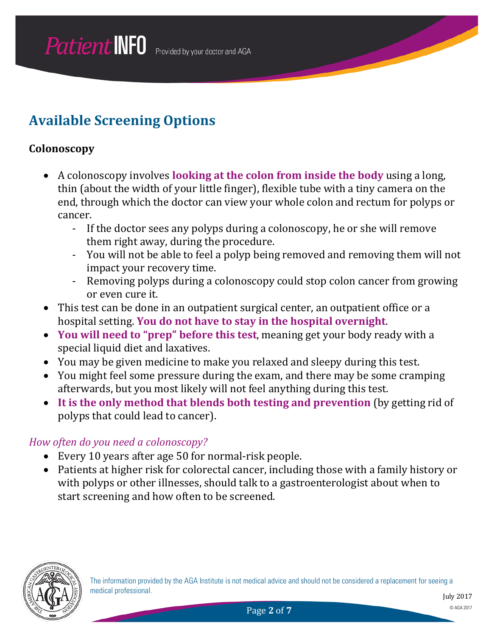### **Available Screening Options**

#### **Colonoscopy**

- A colonoscopy involves **looking at the colon from inside the body** using a long, thin (about the width of your little finger), flexible tube with a tiny camera on the end, through which the doctor can view your whole colon and rectum for polyps or cancer.
	- If the doctor sees any polyps during a colonoscopy, he or she will remove them right away, during the procedure.
	- You will not be able to feel a polyp being removed and removing them will not impact your recovery time.
	- Removing polyps during a colonoscopy could stop colon cancer from growing or even cure it.
- This test can be done in an outpatient surgical center, an outpatient office or a hospital setting. **You do not have to stay in the hospital overnight**.
- **You will need to "prep" before this test**, meaning get your body ready with a special liquid diet and laxatives.
- You may be given medicine to make you relaxed and sleepy during this test.
- You might feel some pressure during the exam, and there may be some cramping afterwards, but you most likely will not feel anything during this test.
- **It is the only method that blends both testing and prevention** (by getting rid of polyps that could lead to cancer).

#### *How often do you need a colonoscopy?*

- Every 10 years after age 50 for normal-risk people.
- Patients at higher risk for colorectal cancer, including those with a family history or with polyps or other illnesses, should talk to a gastroenterologist about when to start screening and how often to be screened.

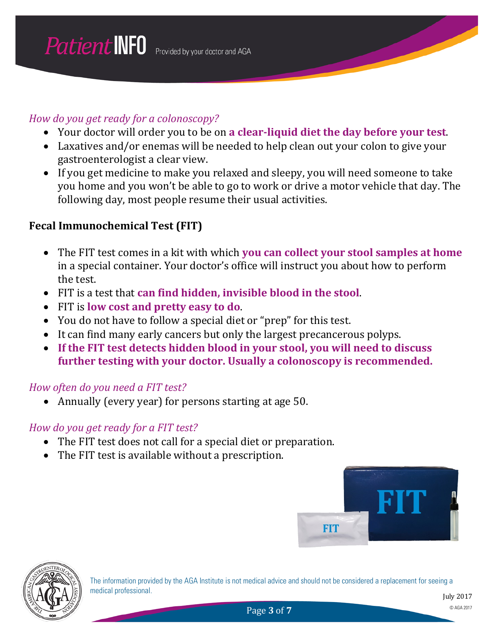#### *How do you get ready for a colonoscopy?*

- Your doctor will order you to be on **a clear-liquid diet the day before your test**.
- Laxatives and/or enemas will be needed to help clean out your colon to give your gastroenterologist a clear view.
- If you get medicine to make you relaxed and sleepy, you will need someone to take you home and you won't be able to go to work or drive a motor vehicle that day. The following day, most people resume their usual activities.

#### **Fecal Immunochemical Test (FIT)**

- The FIT test comes in a kit with which **you can collect your stool samples at home** in a special container. Your doctor's office will instruct you about how to perform the test.
- FIT is a test that **can find hidden, invisible blood in the stool**.
- FIT is **low cost and pretty easy to do**.
- You do not have to follow a special diet or "prep" for this test.
- It can find many early cancers but only the largest precancerous polyps.
- **If the FIT test detects hidden blood in your stool, you will need to discuss further testing with your doctor. Usually a colonoscopy is recommended.**

#### *How often do you need a FIT test?*

• Annually (every year) for persons starting at age 50.

#### *How do you get ready for a FIT test?*

- The FIT test does not call for a special diet or preparation.
- The FIT test is available without a prescription.





The information provided by the AGA Institute is not medical advice and should not be considered a replacement for seeing a medical professional.

**Page 3 of 7** © AGA 2017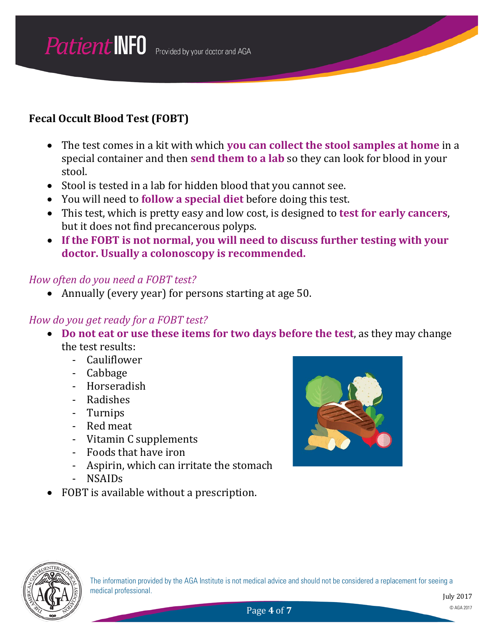#### **Fecal Occult Blood Test (FOBT)**

- The test comes in a kit with which **you can collect the stool samples at home** in a special container and then **send them to a lab** so they can look for blood in your stool.
- Stool is tested in a lab for hidden blood that you cannot see.
- You will need to **follow a special diet** before doing this test.
- This test, which is pretty easy and low cost, is designed to **test for early cancers**, but it does not find precancerous polyps.
- **If the FOBT is not normal, you will need to discuss further testing with your doctor. Usually a colonoscopy is recommended.**

#### *How often do you need a FOBT test?*

• Annually (every year) for persons starting at age 50.

#### *How do you get ready for a FOBT test?*

- **Do not eat or use these items for two days before the test**, as they may change the test results:
	- Cauliflower
	- Cabbage
	- Horseradish
	- Radishes
	- Turnips
	- Red meat
	- Vitamin C supplements
	- Foods that have iron
	- Aspirin, which can irritate the stomach
	- NSAIDs
- FOBT is available without a prescription.



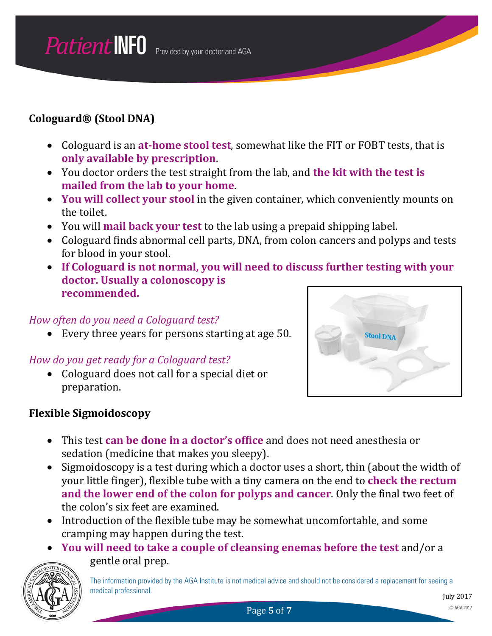#### **Cologuard® (Stool DNA)**

- Cologuard is an **at-home stool test**, somewhat like the FIT or FOBT tests, that is **only available by prescription**.
- You doctor orders the test straight from the lab, and **the kit with the test is mailed from the lab to your home**.
- **You will collect your stool** in the given container, which conveniently mounts on the toilet.
- You will **mail back your test** to the lab using a prepaid shipping label.
- Cologuard finds abnormal cell parts, DNA, from colon cancers and polyps and tests for blood in your stool.
- **If Cologuard is not normal, you will need to discuss further testing with your doctor. Usually a colonoscopy is recommended.**

#### *How often do you need a Cologuard test?*

• Every three years for persons starting at age 50.

#### *How do you get ready for a Cologuard test?*

• Cologuard does not call for a special diet or preparation.





- This test **can be done in a doctor's office** and does not need anesthesia or sedation (medicine that makes you sleepy).
- Sigmoidoscopy is a test during which a doctor uses a short, thin (about the width of your little finger), flexible tube with a tiny camera on the end to **check the rectum and the lower end of the colon for polyps and cancer**. Only the final two feet of the colon's six feet are examined.
- Introduction of the flexible tube may be somewhat uncomfortable, and some cramping may happen during the test.
- **You will need to take a couple of cleansing enemas before the test** and/or a gentle oral prep.

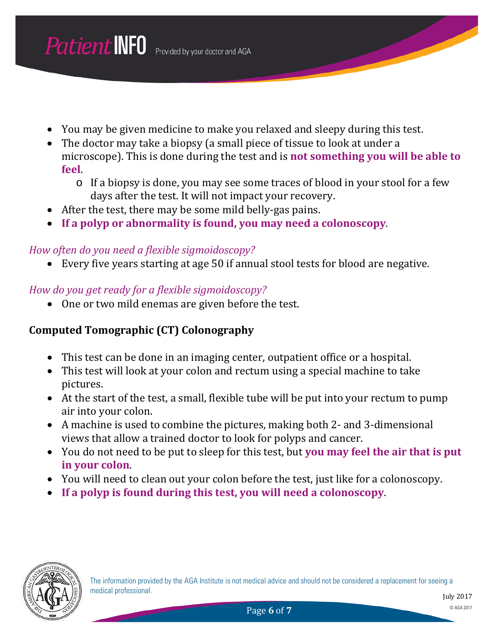- You may be given medicine to make you relaxed and sleepy during this test.
- The doctor may take a biopsy (a small piece of tissue to look at under a microscope). This is done during the test and is **not something you will be able to feel**.
	- o If a biopsy is done, you may see some traces of blood in your stool for a few days after the test. It will not impact your recovery.
- After the test, there may be some mild belly-gas pains.
- **If a polyp or abnormality is found, you may need a colonoscopy**.

#### *How often do you need a flexible sigmoidoscopy?*

• Every five years starting at age 50 if annual stool tests for blood are negative.

#### *How do you get ready for a flexible sigmoidoscopy?*

• One or two mild enemas are given before the test.

#### **Computed Tomographic (CT) Colonography**

- This test can be done in an imaging center, outpatient office or a hospital.
- This test will look at your colon and rectum using a special machine to take pictures.
- At the start of the test, a small, flexible tube will be put into your rectum to pump air into your colon.
- A machine is used to combine the pictures, making both 2- and 3-dimensional views that allow a trained doctor to look for polyps and cancer.
- You do not need to be put to sleep for this test, but **you may feel the air that is put in your colon**.
- You will need to clean out your colon before the test, just like for a colonoscopy.
- **If a polyp is found during this test, you will need a colonoscopy**.

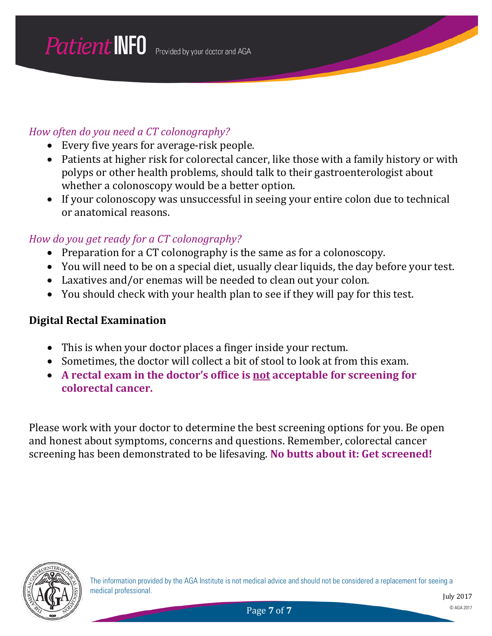#### *How often do you need a CT colonography?*

- Every five years for average-risk people.
- Patients at higher risk for colorectal cancer, like those with a family history or with polyps or other health problems, should talk to their gastroenterologist about whether a colonoscopy would be a better option.
- If your colonoscopy was unsuccessful in seeing your entire colon due to technical or anatomical reasons.

#### *How do you get ready for a CT colonography?*

- Preparation for a CT colonography is the same as for a colonoscopy.
- You will need to be on a special diet, usually clear liquids, the day before your test.
- Laxatives and/or enemas will be needed to clean out your colon.
- You should check with your health plan to see if they will pay for this test.

#### **Digital Rectal Examination**

- This is when your doctor places a finger inside your rectum.
- Sometimes, the doctor will collect a bit of stool to look at from this exam.
- A rectal exam in the doctor's office is not acceptable for screening for **colorectal cancer.**

Please work with your doctor to determine the best screening options for you. Be open and honest about symptoms, concerns and questions. Remember, colorectal cancer screening has been demonstrated to be lifesaving. **No butts about it: Get screened!**

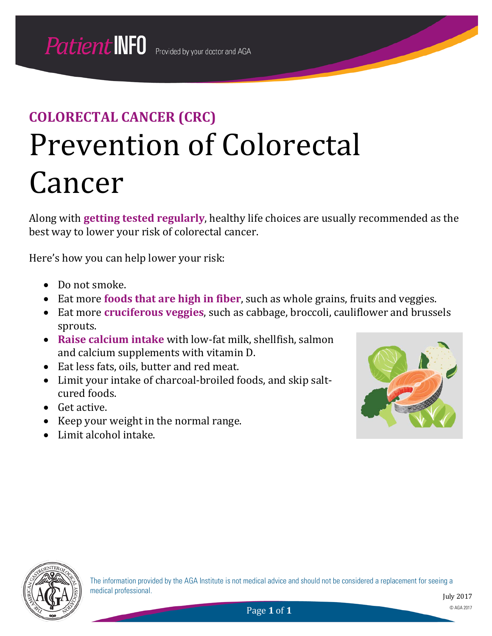## **COLORECTAL CANCER (CRC)** Prevention of Colorectal Cancer

Along with **getting tested regularly**, healthy life choices are usually recommended as the best way to lower your risk of colorectal cancer.

Here's how you can help lower your risk:

- Do not smoke.
- Eat more **foods that are high in fiber**, such as whole grains, fruits and veggies.
- Eat more **cruciferous veggies**, such as cabbage, broccoli, cauliflower and brussels sprouts.
- **Raise calcium intake** with low-fat milk, shellfish, salmon and calcium supplements with vitamin D.
- Eat less fats, oils, butter and red meat.
- Limit your intake of charcoal-broiled foods, and skip saltcured foods.
- Get active.
- Keep your weight in the normal range.
- Limit alcohol intake.